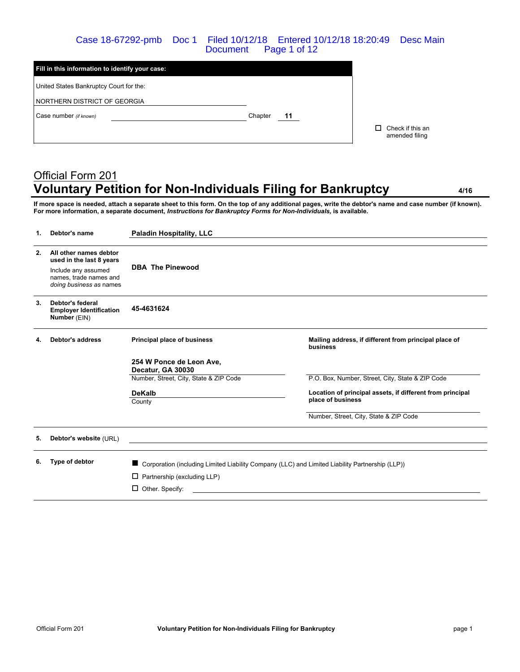### Case 18-67292-pmb Doc 1 Filed 10/12/18 Entered 10/12/18 18:20:49 Desc Main Document Page 1 of 12

| Fill in this information to identify your case: |         |    |                                          |
|-------------------------------------------------|---------|----|------------------------------------------|
| United States Bankruptcy Court for the:         |         |    |                                          |
| NORTHERN DISTRICT OF GEORGIA                    |         |    |                                          |
| Case number (if known)                          | Chapter | 11 |                                          |
|                                                 |         |    | Check if this an<br>п.<br>amended filing |

# Official Form 201 **Voluntary Petition for Non-Individuals Filing for Bankruptcy 4/16**

**If more space is needed, attach a separate sheet to this form. On the top of any additional pages, write the debtor's name and case number (if known). For more information, a separate document,** *Instructions for Bankruptcy Forms for Non-Individuals,* **is available.**

| 1. | Debtor's name                                                                                                                  | <b>Paladin Hospitality, LLC</b>                                                                 |                                                                   |
|----|--------------------------------------------------------------------------------------------------------------------------------|-------------------------------------------------------------------------------------------------|-------------------------------------------------------------------|
| 2. | All other names debtor<br>used in the last 8 years<br>Include any assumed<br>names, trade names and<br>doing business as names | <b>DBA The Pinewood</b>                                                                         |                                                                   |
| 3. | Debtor's federal<br><b>Employer Identification</b><br>Number (EIN)                                                             | 45-4631624                                                                                      |                                                                   |
| 4. | <b>Debtor's address</b>                                                                                                        | Principal place of business                                                                     | Mailing address, if different from principal place of<br>business |
|    |                                                                                                                                | 254 W Ponce de Leon Ave.<br>Decatur, GA 30030                                                   |                                                                   |
|    |                                                                                                                                | Number, Street, City, State & ZIP Code                                                          | P.O. Box, Number, Street, City, State & ZIP Code                  |
|    |                                                                                                                                | <b>DeKalb</b>                                                                                   | Location of principal assets, if different from principal         |
|    |                                                                                                                                | County                                                                                          | place of business                                                 |
|    |                                                                                                                                |                                                                                                 | Number, Street, City, State & ZIP Code                            |
| 5. | Debtor's website (URL)                                                                                                         |                                                                                                 |                                                                   |
| 6. | Type of debtor                                                                                                                 | Corporation (including Limited Liability Company (LLC) and Limited Liability Partnership (LLP)) |                                                                   |
|    |                                                                                                                                | $\Box$ Partnership (excluding LLP)                                                              |                                                                   |
|    |                                                                                                                                | $\Box$ Other. Specify:                                                                          |                                                                   |
|    |                                                                                                                                |                                                                                                 |                                                                   |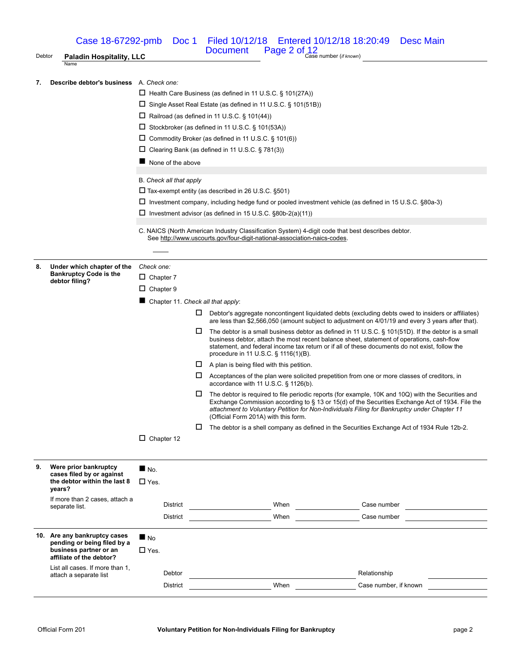Case 18-67292-pmb Doc 1 Filed 10/12/18 Entered 10/12/18 18:20:49 Desc Main

Debtor **Paladin Hospitality, LLC Case number** (*if known*) **Paladin Hospitality, LLC Paladin Hospitality, LLC** 

Document Page 2 of 12

**7. Describe debtor's business** A. *Check one:*

|    | นธมเบเ อ มนอแเธออ                                         | A. VIIGUN VIIG                                                       |                                   |    |                                                                                                                                                                               |                                                                                                                                                                                                         |  |  |
|----|-----------------------------------------------------------|----------------------------------------------------------------------|-----------------------------------|----|-------------------------------------------------------------------------------------------------------------------------------------------------------------------------------|---------------------------------------------------------------------------------------------------------------------------------------------------------------------------------------------------------|--|--|
|    |                                                           |                                                                      |                                   |    | $\Box$ Health Care Business (as defined in 11 U.S.C. § 101(27A))                                                                                                              |                                                                                                                                                                                                         |  |  |
|    |                                                           | $\Box$ Single Asset Real Estate (as defined in 11 U.S.C. § 101(51B)) |                                   |    |                                                                                                                                                                               |                                                                                                                                                                                                         |  |  |
|    |                                                           | $\Box$ Railroad (as defined in 11 U.S.C. § 101(44))                  |                                   |    |                                                                                                                                                                               |                                                                                                                                                                                                         |  |  |
|    |                                                           | $\Box$ Stockbroker (as defined in 11 U.S.C. § 101(53A))              |                                   |    |                                                                                                                                                                               |                                                                                                                                                                                                         |  |  |
|    |                                                           |                                                                      |                                   |    |                                                                                                                                                                               |                                                                                                                                                                                                         |  |  |
|    |                                                           |                                                                      |                                   |    | $\Box$ Commodity Broker (as defined in 11 U.S.C. § 101(6))                                                                                                                    |                                                                                                                                                                                                         |  |  |
|    |                                                           |                                                                      |                                   |    | $\Box$ Clearing Bank (as defined in 11 U.S.C. § 781(3))                                                                                                                       |                                                                                                                                                                                                         |  |  |
|    |                                                           |                                                                      | None of the above                 |    |                                                                                                                                                                               |                                                                                                                                                                                                         |  |  |
|    |                                                           |                                                                      |                                   |    |                                                                                                                                                                               |                                                                                                                                                                                                         |  |  |
|    |                                                           | B. Check all that apply                                              |                                   |    |                                                                                                                                                                               |                                                                                                                                                                                                         |  |  |
|    |                                                           | $\Box$ Tax-exempt entity (as described in 26 U.S.C. §501)            |                                   |    |                                                                                                                                                                               |                                                                                                                                                                                                         |  |  |
|    |                                                           |                                                                      |                                   |    | □ Investment company, including hedge fund or pooled investment vehicle (as defined in 15 U.S.C. §80a-3)                                                                      |                                                                                                                                                                                                         |  |  |
|    |                                                           |                                                                      |                                   |    | $\square$ Investment advisor (as defined in 15 U.S.C. §80b-2(a)(11))                                                                                                          |                                                                                                                                                                                                         |  |  |
|    |                                                           |                                                                      |                                   |    |                                                                                                                                                                               |                                                                                                                                                                                                         |  |  |
|    |                                                           |                                                                      |                                   |    | C. NAICS (North American Industry Classification System) 4-digit code that best describes debtor.<br>See http://www.uscourts.gov/four-digit-national-association-naics-codes. |                                                                                                                                                                                                         |  |  |
|    |                                                           |                                                                      |                                   |    |                                                                                                                                                                               |                                                                                                                                                                                                         |  |  |
|    |                                                           |                                                                      |                                   |    |                                                                                                                                                                               |                                                                                                                                                                                                         |  |  |
| 8. | Under which chapter of the                                | Check one:                                                           |                                   |    |                                                                                                                                                                               |                                                                                                                                                                                                         |  |  |
|    | <b>Bankruptcy Code is the</b>                             | $\Box$ Chapter 7                                                     |                                   |    |                                                                                                                                                                               |                                                                                                                                                                                                         |  |  |
|    | debtor filing?                                            | $\Box$ Chapter 9                                                     |                                   |    |                                                                                                                                                                               |                                                                                                                                                                                                         |  |  |
|    |                                                           |                                                                      |                                   |    |                                                                                                                                                                               |                                                                                                                                                                                                         |  |  |
|    |                                                           |                                                                      | Chapter 11. Check all that apply: |    |                                                                                                                                                                               |                                                                                                                                                                                                         |  |  |
|    |                                                           |                                                                      |                                   | ц. |                                                                                                                                                                               | Debtor's aggregate noncontingent liquidated debts (excluding debts owed to insiders or affiliates)<br>are less than \$2,566,050 (amount subject to adjustment on 4/01/19 and every 3 years after that). |  |  |
|    |                                                           |                                                                      |                                   | □  |                                                                                                                                                                               | The debtor is a small business debtor as defined in 11 U.S.C. § 101(51D). If the debtor is a small                                                                                                      |  |  |
|    |                                                           |                                                                      |                                   |    |                                                                                                                                                                               | business debtor, attach the most recent balance sheet, statement of operations, cash-flow                                                                                                               |  |  |
|    |                                                           |                                                                      |                                   |    | procedure in 11 U.S.C. § 1116(1)(B).                                                                                                                                          | statement, and federal income tax return or if all of these documents do not exist, follow the                                                                                                          |  |  |
|    |                                                           |                                                                      |                                   |    |                                                                                                                                                                               |                                                                                                                                                                                                         |  |  |
|    |                                                           |                                                                      |                                   |    | $\Box$ A plan is being filed with this petition.                                                                                                                              |                                                                                                                                                                                                         |  |  |
|    |                                                           |                                                                      |                                   | ц. | accordance with 11 U.S.C. $\S$ 1126(b).                                                                                                                                       | Acceptances of the plan were solicited prepetition from one or more classes of creditors, in                                                                                                            |  |  |
|    |                                                           |                                                                      |                                   | □  |                                                                                                                                                                               | The debtor is required to file periodic reports (for example, 10K and 10Q) with the Securities and                                                                                                      |  |  |
|    |                                                           |                                                                      |                                   |    |                                                                                                                                                                               | Exchange Commission according to § 13 or 15(d) of the Securities Exchange Act of 1934. File the                                                                                                         |  |  |
|    |                                                           |                                                                      |                                   |    | (Official Form 201A) with this form.                                                                                                                                          | attachment to Voluntary Petition for Non-Individuals Filing for Bankruptcy under Chapter 11                                                                                                             |  |  |
|    |                                                           |                                                                      |                                   | ப  |                                                                                                                                                                               | The debtor is a shell company as defined in the Securities Exchange Act of 1934 Rule 12b-2.                                                                                                             |  |  |
|    |                                                           | $\Box$ Chapter 12                                                    |                                   |    |                                                                                                                                                                               |                                                                                                                                                                                                         |  |  |
|    |                                                           |                                                                      |                                   |    |                                                                                                                                                                               |                                                                                                                                                                                                         |  |  |
|    |                                                           |                                                                      |                                   |    |                                                                                                                                                                               |                                                                                                                                                                                                         |  |  |
|    |                                                           |                                                                      |                                   |    |                                                                                                                                                                               |                                                                                                                                                                                                         |  |  |
| 9. | Were prior bankruptcy                                     | $N_{\rm O}$ .                                                        |                                   |    |                                                                                                                                                                               |                                                                                                                                                                                                         |  |  |
|    | cases filed by or against<br>the debtor within the last 8 | $\square$ Yes.                                                       |                                   |    |                                                                                                                                                                               |                                                                                                                                                                                                         |  |  |
|    | years?                                                    |                                                                      |                                   |    |                                                                                                                                                                               |                                                                                                                                                                                                         |  |  |
|    | If more than 2 cases, attach a                            |                                                                      |                                   |    |                                                                                                                                                                               |                                                                                                                                                                                                         |  |  |
|    | separate list.                                            |                                                                      | District                          |    | When                                                                                                                                                                          | Case number<br><u> 1999 - Jan Stein Stein Stein Stein Stein Stein Stein Stein Stein Stein Stein Stein Stein Stein Stein Stein S</u>                                                                     |  |  |
|    |                                                           |                                                                      | District                          |    | When                                                                                                                                                                          | Case number                                                                                                                                                                                             |  |  |
|    | 10. Are any bankruptcy cases                              |                                                                      |                                   |    |                                                                                                                                                                               |                                                                                                                                                                                                         |  |  |
|    | pending or being filed by a                               | $\blacksquare$ No                                                    |                                   |    |                                                                                                                                                                               |                                                                                                                                                                                                         |  |  |
|    | business partner or an                                    | $\square$ Yes.                                                       |                                   |    |                                                                                                                                                                               |                                                                                                                                                                                                         |  |  |
|    | affiliate of the debtor?                                  |                                                                      |                                   |    |                                                                                                                                                                               |                                                                                                                                                                                                         |  |  |
|    | List all cases. If more than 1,<br>attach a separate list |                                                                      | Debtor                            |    | <b>Example 2018</b> When <b>When</b>                                                                                                                                          | Relationship                                                                                                                                                                                            |  |  |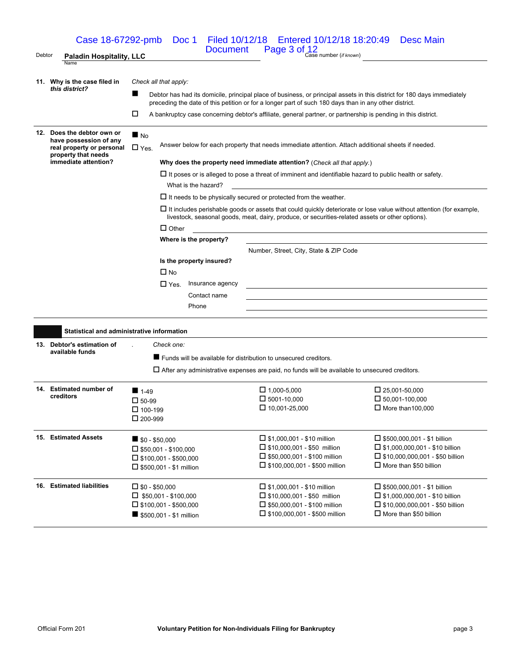Document Page 3 of 12<br>Debtor **Paladin Hospitality, LLC** Document Page 3 of  $\frac{12}{\text{Case number (if known)}}$ Name **11. Why is the case filed in** *this district? Check all that apply:* Debtor has had its domicile, principal place of business, or principal assets in this district for 180 days immediately preceding the date of this petition or for a longer part of such 180 days than in any other district. A bankruptcy case concerning debtor's affiliate, general partner, or partnership is pending in this district. **12. Does the debtor own or have possession of any real property or personal property that needs immediate attention?**  $N_0$ □ Yes. Answer below for each property that needs immediate attention. Attach additional sheets if needed. **Why does the property need immediate attention?** (*Check all that apply.*)  $\Box$  It poses or is alleged to pose a threat of imminent and identifiable hazard to public health or safety. What is the hazard?  $\Box$  It needs to be physically secured or protected from the weather.  $\Box$  It includes perishable goods or assets that could quickly deteriorate or lose value without attention (for example, livestock, seasonal goods, meat, dairy, produce, or securities-related assets or other options).  $\square$  Other **Where is the property?** Number, Street, City, State & ZIP Code **Is the property insured?**  $\square$  No □ Yes. Insurance agency Contact name Phone **Statistical and administrative information 13. Debtor's estimation of available funds** . *Check one:* Funds will be available for distribution to unsecured creditors.  $\Box$  After any administrative expenses are paid, no funds will be available to unsecured creditors. **14. Estimated number of creditors**  $1-49$  $\square$  50-99  $\Box$  100-199  $\square$  200-999  $\Box$  1,000-5,000  $\square$  5001-10,000  $\square$  10.001-25,000  $\square$  25.001-50.000  $\square$  50.001-100.000  $\Box$  More than 100,000 **15. Estimated Assets \$1.6**  $\bullet$  **\$0.550,000**  $\square$  \$50,001 - \$100,000  $\square$  \$100,001 - \$500,000  $\square$  \$500,001 - \$1 million  $\square$  \$1,000,001 - \$10 million  $\square$  \$10,000,001 - \$50 million  $\square$  \$50,000,001 - \$100 million □ \$100,000,001 - \$500 million  $\square$  \$500,000,001 - \$1 billion  $\square$  \$1,000,000,001 - \$10 billion  $\square$  \$10,000,000,001 - \$50 billion  $\square$  More than \$50 billion **16. Estimated liabilities**  $\qquad \qquad \Box$  \$0 - \$50,000  $\Box$  \$50,001 - \$100,000  $\square$  \$100,001 - \$500,000 **5500,001 - \$1 million**  $\square$  \$1,000,001 - \$10 million  $\square$  \$10,000,001 - \$50 million □ \$50,000,001 - \$100 million □ \$100,000,001 - \$500 million  $\square$  \$500,000,001 - \$1 billion  $\square$  \$1,000,000,001 - \$10 billion  $\square$  \$10,000,000,001 - \$50 billion  $\square$  More than \$50 billion Case 18-67292-pmb Doc 1 Filed 10/12/18 Entered 10/12/18 18:20:49 Desc Main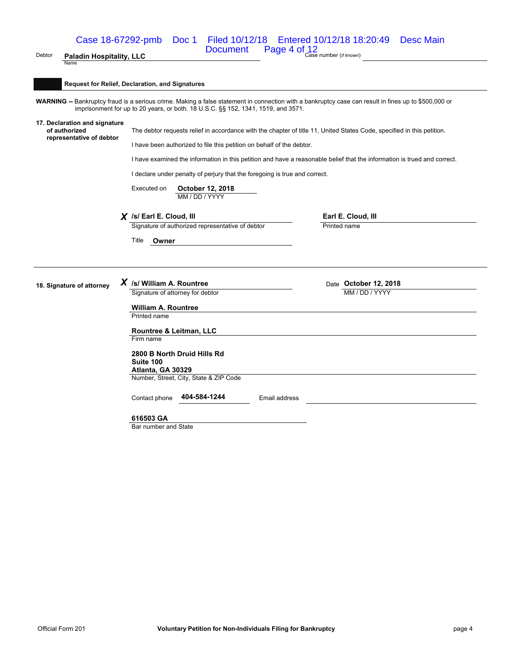# Document Page 4 of 12<br>Debtor **Paladin Hospitality, LLC** Document Page 4 of  $\frac{12}{\text{Case number (if known)}}$ Case 18-67292-pmb Doc 1 Filed 10/12/18 Entered 10/12/18 18:20:49 Desc Main

#### **Request for Relief, Declaration, and Signatures**

WARNING -- Bankruptcy fraud is a serious crime. Making a false statement in connection with a bankruptcy case can result in fines up to \$500,000 or imprisonment for up to 20 years, or both. 18 U.S.C. §§ 152, 1341, 1519, and 3571.

#### **17. Declaration and signature of authorized representative of debtor**

Name

The debtor requests relief in accordance with the chapter of title 11, United States Code, specified in this petition.

I have been authorized to file this petition on behalf of the debtor.

I have examined the information in this petition and have a reasonable belief that the information is trued and correct.

I declare under penalty of perjury that the foregoing is true and correct.

Executed on **October 12, 2018** MM / DD / YYYY

**X** *Isl* Earl E. Cloud, III **Earl E. Cloud, III Earl E. Cloud, III Earl E. Cloud, III Example 1 Earl E. Cloud, III** Signature of authorized representative of debtor

Title **Owner**

**18. Signature of attorney** *X* /s/ William A. Rountree Date **Date October 12, 2018**<br>Signature of attorney for debtor Signature of attorney for debtor

> **William A. Rountree** Printed name

#### **Rountree & Leitman, LLC** Firm name

**2800 B North Druid Hills Rd Suite 100 Atlanta, GA 30329** Number, Street, City, State & ZIP Code

Contact phone **404-584-1244** Email address

#### **616503 GA**

Bar number and State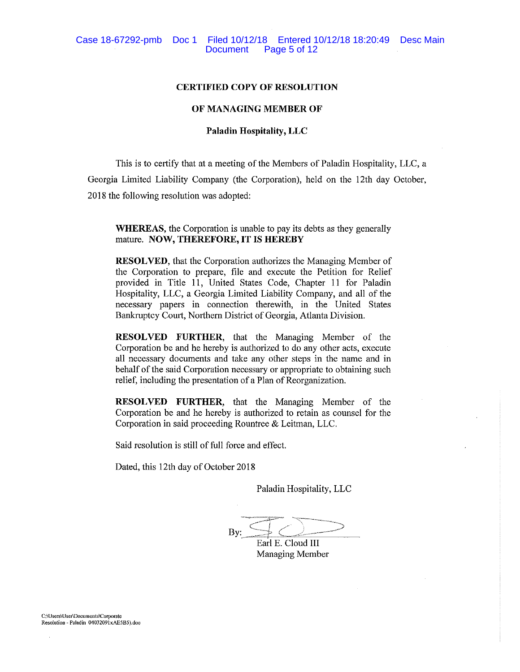#### **CERTIFIED COPY OF RESOLUTION**

#### OF MANAGING MEMBER OF

# **Paladin Hospitality, LLC**

This is to certify that at a meeting of the Members of Paladin Hospitality, LLC, a Georgia Limited Liability Company (the Corporation), held on the 12th day October, 2018 the following resolution was adopted:

**WHEREAS**, the Corporation is unable to pay its debts as they generally mature. NOW, THEREFORE, IT IS HEREBY

**RESOLVED**, that the Corporation authorizes the Managing Member of the Corporation to prepare, file and execute the Petition for Relief provided in Title 11, United States Code, Chapter 11 for Paladin Hospitality, LLC, a Georgia Limited Liability Company, and all of the necessary papers in connection therewith, in the United States Bankruptcy Court, Northern District of Georgia, Atlanta Division.

RESOLVED FURTHER, that the Managing Member of the Corporation be and he hereby is authorized to do any other acts, execute all necessary documents and take any other steps in the name and in behalf of the said Corporation necessary or appropriate to obtaining such relief, including the presentation of a Plan of Reorganization.

RESOLVED FURTHER, that the Managing Member of the Corporation be and he hereby is authorized to retain as counsel for the Corporation in said proceeding Rountree & Leitman, LLC.

Said resolution is still of full force and effect.

Dated, this 12th day of October 2018

Paladin Hospitality, LLC

By:

Earl E. Cloud III Managing Member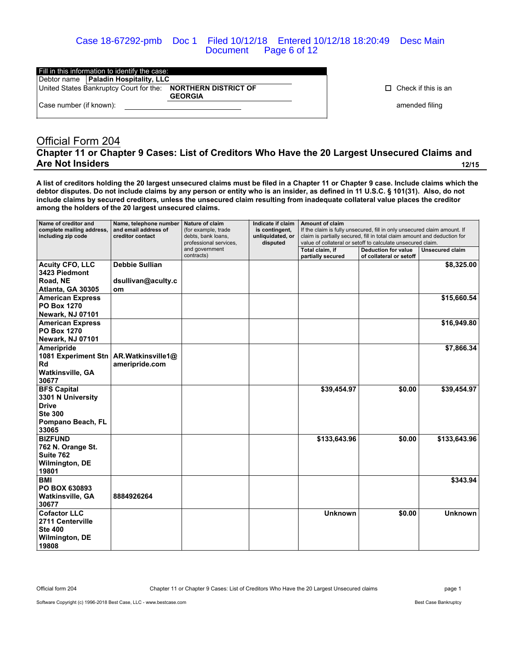Case 18-67292-pmb Doc 1 Filed 10/12/18 Entered 10/12/18 18:20:49 Desc Main Document Page 6 of 12

|                         | Fill in this information to identify the case: |                                               |  |
|-------------------------|------------------------------------------------|-----------------------------------------------|--|
|                         | Debtor name   Paladin Hospitality, LLC         |                                               |  |
|                         | United States Bankruptcy Court for the:        | <b>NORTHERN DISTRICT OF</b><br><b>GEORGIA</b> |  |
| Case number (if known): |                                                |                                               |  |

 $\Box$  Check if this is an

amended filing

# Official Form 204 **Chapter 11 or Chapter 9 Cases: List of Creditors Who Have the 20 Largest Unsecured Claims and Are Not Insiders 12/15**

**A list of creditors holding the 20 largest unsecured claims must be filed in a Chapter 11 or Chapter 9 case. Include claims which the debtor disputes. Do not include claims by any person or entity who is an insider, as defined in 11 U.S.C. § 101(31). Also, do not include claims by secured creditors, unless the unsecured claim resulting from inadequate collateral value places the creditor among the holders of the 20 largest unsecured claims.**

| Name of creditor and<br>complete mailing address,<br>including zip code | Name, telephone number<br>and email address of<br>creditor contact | Nature of claim<br>(for example, trade<br>debts, bank loans,<br>professional services, | Indicate if claim<br>is contingent,<br>unliquidated, or<br>disputed | <b>Amount of claim</b><br>If the claim is fully unsecured, fill in only unsecured claim amount. If<br>claim is partially secured, fill in total claim amount and deduction for<br>value of collateral or setoff to calculate unsecured claim. |                                                       |                 |
|-------------------------------------------------------------------------|--------------------------------------------------------------------|----------------------------------------------------------------------------------------|---------------------------------------------------------------------|-----------------------------------------------------------------------------------------------------------------------------------------------------------------------------------------------------------------------------------------------|-------------------------------------------------------|-----------------|
|                                                                         |                                                                    | and government<br>contracts)                                                           |                                                                     | Total claim, if<br>partially secured                                                                                                                                                                                                          | <b>Deduction for value</b><br>of collateral or setoff | Unsecured claim |
| <b>Acuity CFO, LLC</b>                                                  | <b>Debbie Sullian</b>                                              |                                                                                        |                                                                     |                                                                                                                                                                                                                                               |                                                       | \$8,325.00      |
| 3423 Piedmont                                                           |                                                                    |                                                                                        |                                                                     |                                                                                                                                                                                                                                               |                                                       |                 |
| Road, NE<br>Atlanta, GA 30305                                           | dsullivan@aculty.c<br>om                                           |                                                                                        |                                                                     |                                                                                                                                                                                                                                               |                                                       |                 |
| <b>American Express</b>                                                 |                                                                    |                                                                                        |                                                                     |                                                                                                                                                                                                                                               |                                                       | \$15,660.54     |
| <b>PO Box 1270</b>                                                      |                                                                    |                                                                                        |                                                                     |                                                                                                                                                                                                                                               |                                                       |                 |
| <b>Newark, NJ 07101</b>                                                 |                                                                    |                                                                                        |                                                                     |                                                                                                                                                                                                                                               |                                                       |                 |
| <b>American Express</b>                                                 |                                                                    |                                                                                        |                                                                     |                                                                                                                                                                                                                                               |                                                       | \$16,949.80     |
| <b>PO Box 1270</b>                                                      |                                                                    |                                                                                        |                                                                     |                                                                                                                                                                                                                                               |                                                       |                 |
| <b>Newark, NJ 07101</b>                                                 |                                                                    |                                                                                        |                                                                     |                                                                                                                                                                                                                                               |                                                       |                 |
| Ameripride<br>1081 Experiment Stn                                       | AR.Watkinsville1@                                                  |                                                                                        |                                                                     |                                                                                                                                                                                                                                               |                                                       | \$7,866.34      |
| <b>Rd</b>                                                               | ameripride.com                                                     |                                                                                        |                                                                     |                                                                                                                                                                                                                                               |                                                       |                 |
| Watkinsville, GA<br>30677                                               |                                                                    |                                                                                        |                                                                     |                                                                                                                                                                                                                                               |                                                       |                 |
| <b>BFS Capital</b>                                                      |                                                                    |                                                                                        |                                                                     | \$39,454.97                                                                                                                                                                                                                                   | \$0.00                                                | \$39,454.97     |
| 3301 N University                                                       |                                                                    |                                                                                        |                                                                     |                                                                                                                                                                                                                                               |                                                       |                 |
| <b>Drive</b>                                                            |                                                                    |                                                                                        |                                                                     |                                                                                                                                                                                                                                               |                                                       |                 |
| <b>Ste 300</b>                                                          |                                                                    |                                                                                        |                                                                     |                                                                                                                                                                                                                                               |                                                       |                 |
| Pompano Beach, FL<br>33065                                              |                                                                    |                                                                                        |                                                                     |                                                                                                                                                                                                                                               |                                                       |                 |
| <b>BIZFUND</b>                                                          |                                                                    |                                                                                        |                                                                     | \$133,643.96                                                                                                                                                                                                                                  | \$0.00                                                | \$133,643.96    |
| 762 N. Orange St.                                                       |                                                                    |                                                                                        |                                                                     |                                                                                                                                                                                                                                               |                                                       |                 |
| Suite 762                                                               |                                                                    |                                                                                        |                                                                     |                                                                                                                                                                                                                                               |                                                       |                 |
| <b>Wilmington, DE</b><br>19801                                          |                                                                    |                                                                                        |                                                                     |                                                                                                                                                                                                                                               |                                                       |                 |
| <b>BMI</b>                                                              |                                                                    |                                                                                        |                                                                     |                                                                                                                                                                                                                                               |                                                       | \$343.94        |
| PO BOX 630893                                                           |                                                                    |                                                                                        |                                                                     |                                                                                                                                                                                                                                               |                                                       |                 |
| <b>Watkinsville, GA</b>                                                 | 8884926264                                                         |                                                                                        |                                                                     |                                                                                                                                                                                                                                               |                                                       |                 |
| 30677                                                                   |                                                                    |                                                                                        |                                                                     |                                                                                                                                                                                                                                               |                                                       |                 |
| <b>Cofactor LLC</b>                                                     |                                                                    |                                                                                        |                                                                     | <b>Unknown</b>                                                                                                                                                                                                                                | \$0.00                                                | <b>Unknown</b>  |
| 2711 Centerville                                                        |                                                                    |                                                                                        |                                                                     |                                                                                                                                                                                                                                               |                                                       |                 |
| <b>Ste 400</b>                                                          |                                                                    |                                                                                        |                                                                     |                                                                                                                                                                                                                                               |                                                       |                 |
| Wilmington, DE<br>19808                                                 |                                                                    |                                                                                        |                                                                     |                                                                                                                                                                                                                                               |                                                       |                 |

Official form 204 Chapter 11 or Chapter 9 Cases: List of Creditors Who Have the 20 Largest Unsecured claims page 1

Software Copyright (c) 1996-2018 Best Case, LLC - www.bestcase.com **Best Case Bankruptcy** Best Case Bankruptcy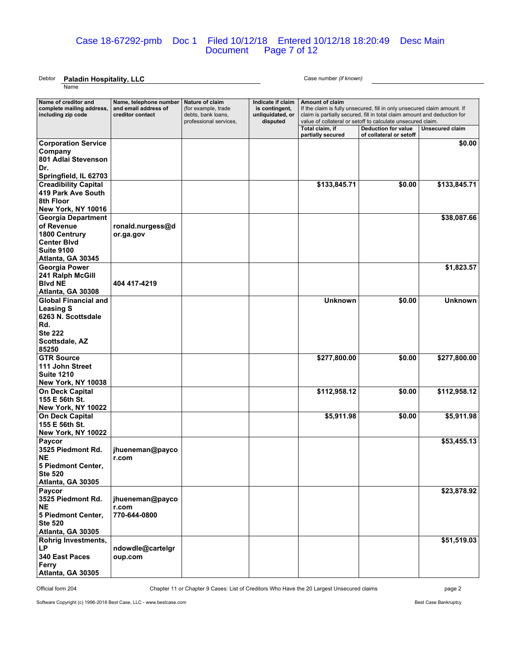#### Case 18-67292-pmb Doc 1 Filed 10/12/18 Entered 10/12/18 18:20:49 Desc Main Document Page 7 of 12

# Debtor **Paladin Hospitality, LLC** Case number *(if known)*

Name

| Name of creditor and<br>complete mailing address,<br>including zip code                                                  | Name, telephone number<br>and email address of<br>creditor contact | Nature of claim<br>(for example, trade<br>debts, bank loans,<br>professional services, | Indicate if claim<br>is contingent,<br>unliquidated, or<br>disputed | Amount of claim<br>If the claim is fully unsecured, fill in only unsecured claim amount. If<br>claim is partially secured, fill in total claim amount and deduction for<br>value of collateral or setoff to calculate unsecured claim. |                                                       |                        |  |
|--------------------------------------------------------------------------------------------------------------------------|--------------------------------------------------------------------|----------------------------------------------------------------------------------------|---------------------------------------------------------------------|----------------------------------------------------------------------------------------------------------------------------------------------------------------------------------------------------------------------------------------|-------------------------------------------------------|------------------------|--|
|                                                                                                                          |                                                                    |                                                                                        |                                                                     | Total claim, if<br>partially secured                                                                                                                                                                                                   | <b>Deduction for value</b><br>of collateral or setoff | <b>Unsecured claim</b> |  |
| <b>Corporation Service</b><br>Company<br>801 Adlai Stevenson<br>Dr.<br>Springfield, IL 62703                             |                                                                    |                                                                                        |                                                                     |                                                                                                                                                                                                                                        |                                                       | \$0.00                 |  |
| <b>Creadibility Capital</b><br>419 Park Ave South<br>8th Floor<br>New York, NY 10016                                     |                                                                    |                                                                                        |                                                                     | \$133,845.71                                                                                                                                                                                                                           | \$0.00                                                | \$133,845.71           |  |
| <b>Georgia Department</b><br>of Revenue<br>1800 Centrury<br><b>Center Blvd</b><br><b>Suite 9100</b><br>Atlanta, GA 30345 | ronald.nurgess@d<br>or.ga.gov                                      |                                                                                        |                                                                     |                                                                                                                                                                                                                                        |                                                       | \$38,087.66            |  |
| <b>Georgia Power</b><br>241 Ralph McGill<br><b>Blvd NE</b><br>Atlanta, GA 30308                                          | 404 417-4219                                                       |                                                                                        |                                                                     |                                                                                                                                                                                                                                        |                                                       | \$1,823.57             |  |
| <b>Global Financial and</b><br><b>Leasing S</b><br>6263 N. Scottsdale<br>Rd.<br><b>Ste 222</b><br>Scottsdale, AZ         |                                                                    |                                                                                        |                                                                     | <b>Unknown</b>                                                                                                                                                                                                                         | \$0.00                                                | <b>Unknown</b>         |  |
| 85250<br><b>GTR Source</b><br>111 John Street<br><b>Suite 1210</b><br>New York, NY 10038                                 |                                                                    |                                                                                        |                                                                     | \$277,800.00                                                                                                                                                                                                                           | \$0.00                                                | \$277,800.00           |  |
| <b>On Deck Capital</b><br>155 E 56th St.<br>New York, NY 10022                                                           |                                                                    |                                                                                        |                                                                     | \$112,958.12                                                                                                                                                                                                                           | \$0.00                                                | \$112,958.12           |  |
| <b>On Deck Capital</b><br>155 E 56th St.<br>New York, NY 10022                                                           |                                                                    |                                                                                        |                                                                     | \$5,911.98                                                                                                                                                                                                                             | \$0.00                                                | \$5,911.98             |  |
| Paycor<br>3525 Piedmont Rd.<br><b>NE</b><br>5 Piedmont Center,<br><b>Ste 520</b><br>Atlanta, GA 30305                    | jhueneman@payco<br>r.com                                           |                                                                                        |                                                                     |                                                                                                                                                                                                                                        |                                                       | \$53,455.13            |  |
| Paycor<br>3525 Piedmont Rd.<br>NE<br>5 Piedmont Center,<br><b>Ste 520</b><br>Atlanta, GA 30305                           | jhueneman@payco<br>r.com<br>770-644-0800                           |                                                                                        |                                                                     |                                                                                                                                                                                                                                        |                                                       | \$23,878.92            |  |
| <b>Rohrig Investments,</b><br>LP<br>340 East Paces<br>Ferry<br>Atlanta, GA 30305                                         | ndowdle@cartelgr<br>oup.com                                        |                                                                                        |                                                                     |                                                                                                                                                                                                                                        |                                                       | \$51,519.03            |  |

Official form 204 Chapter 11 or Chapter 9 Cases: List of Creditors Who Have the 20 Largest Unsecured claims page 2

Software Copyright (c) 1996-2018 Best Case, LLC - www.bestcase.com **Best Case Bankruptcy** Best Case Bankruptcy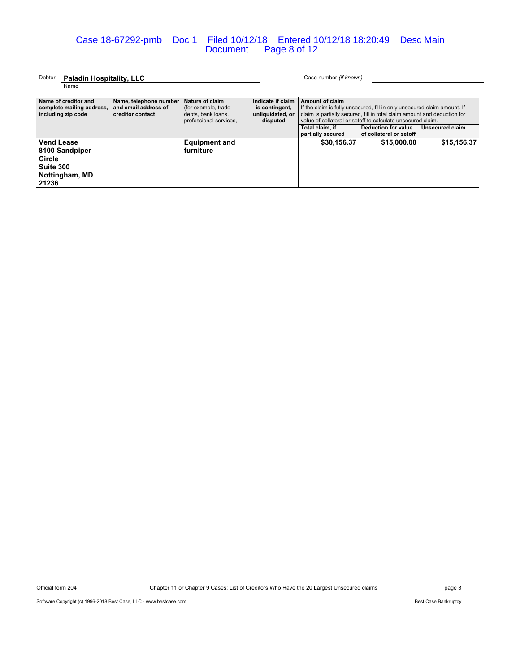### Case 18-67292-pmb Doc 1 Filed 10/12/18 Entered 10/12/18 18:20:49 Desc Main Document Page 8 of 12

#### Debtor **Paladin Hospitality, LLC** Case number *(if known)* Name

| Name of creditor and<br>complete mailing address,<br>including zip code        | Name, telephone number<br>and email address of<br>creditor contact | Nature of claim<br>(for example, trade<br>debts, bank loans,<br>professional services. | Indicate if claim<br>is contingent.<br>unliquidated, or<br>disputed | Amount of claim<br>If the claim is fully unsecured, fill in only unsecured claim amount. If<br>claim is partially secured, fill in total claim amount and deduction for<br>value of collateral or setoff to calculate unsecured claim.<br>Unsecured claim<br>Total claim, if<br>Deduction for value<br>partially secured<br>of collateral or setoff |             |             |
|--------------------------------------------------------------------------------|--------------------------------------------------------------------|----------------------------------------------------------------------------------------|---------------------------------------------------------------------|-----------------------------------------------------------------------------------------------------------------------------------------------------------------------------------------------------------------------------------------------------------------------------------------------------------------------------------------------------|-------------|-------------|
| Vend Lease<br>8100 Sandpiper<br>Circle<br>Suite 300<br>Nottingham, MD<br>21236 |                                                                    | <b>Equipment and</b><br>furniture                                                      |                                                                     | \$30,156.37                                                                                                                                                                                                                                                                                                                                         | \$15,000.00 | \$15,156.37 |

Official form 204 Chapter 11 or Chapter 9 Cases: List of Creditors Who Have the 20 Largest Unsecured claims page 3

Software Copyright (c) 1996-2018 Best Case, LLC - www.bestcase.com Best Case Bankruptcy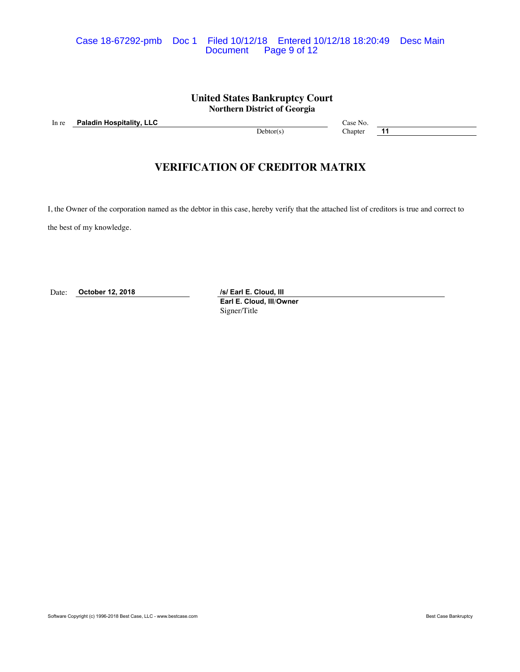### Case 18-67292-pmb Doc 1 Filed 10/12/18 Entered 10/12/18 18:20:49 Desc Main Page 9 of 12

## **United States Bankruptcy Court Northern District of Georgia**

In re **Paladin Hospitality, LLC** Case No. 2008 Case No.

Debtor(s) Chapter **11** 

# **VERIFICATION OF CREDITOR MATRIX**

I, the Owner of the corporation named as the debtor in this case, hereby verify that the attached list of creditors is true and correct to

the best of my knowledge.

Date: **October 12, 2018** */s/ Earl E. Cloud, III* 

**Earl E. Cloud, III**/**Owner** Signer/Title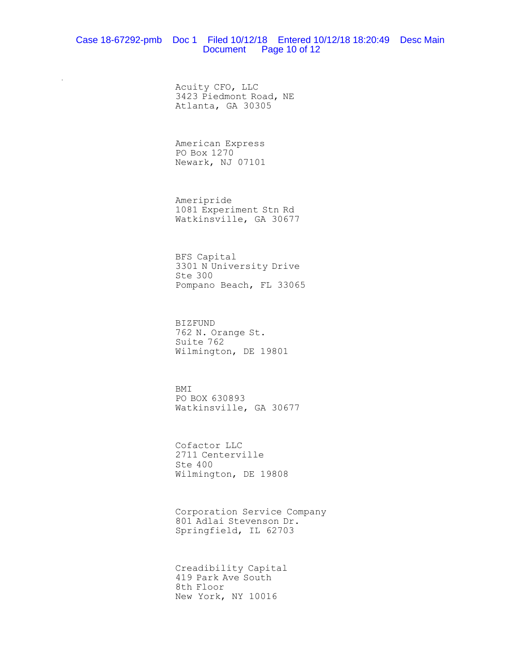### Case 18-67292-pmb Doc 1 Filed 10/12/18 Entered 10/12/18 18:20:49 Desc Main Document Page 10 of 12

Acuity CFO, LLC 3423 Piedmont Road, NE Atlanta, GA 30305

American Express PO Box 1270 Newark, NJ 07101

 $\mathcal{L}$ 

Ameripride 1081 Experiment Stn Rd Watkinsville, GA 30677

BFS Capital 3301 N University Drive Ste 300 Pompano Beach, FL 33065

BIZFUND 762 N. Orange St. Suite 762 Wilmington, DE 19801

BMI PO BOX 630893 Watkinsville, GA 30677

Cofactor LLC 2711 Centerville Ste 400 Wilmington, DE 19808

Corporation Service Company 801 Adlai Stevenson Dr. Springfield, IL 62703

Creadibility Capital 419 Park Ave South 8th Floor New York, NY 10016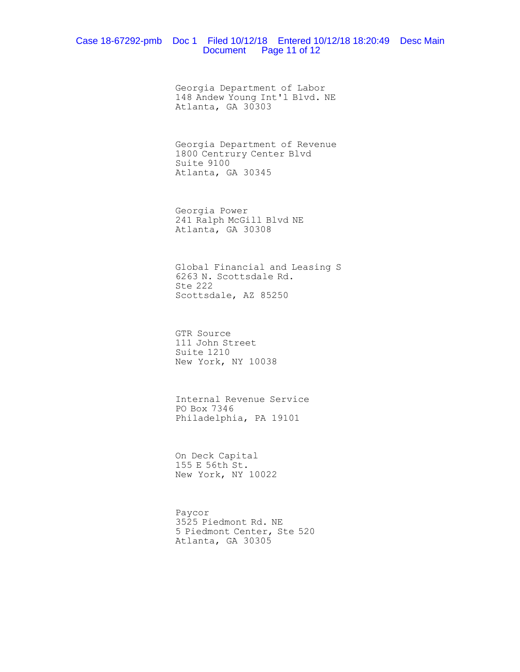#### Case 18-67292-pmb Doc 1 Filed 10/12/18 Entered 10/12/18 18:20:49 Desc Main Document Page 11 of 12

Georgia Department of Labor 148 Andew Young Int'l Blvd. NE Atlanta, GA 30303

Georgia Department of Revenue 1800 Centrury Center Blvd Suite 9100 Atlanta, GA 30345

Georgia Power 241 Ralph McGill Blvd NE Atlanta, GA 30308

Global Financial and Leasing S 6263 N. Scottsdale Rd. Ste 222 Scottsdale, AZ 85250

GTR Source 111 John Street Suite 1210 New York, NY 10038

Internal Revenue Service PO Box 7346 Philadelphia, PA 19101

On Deck Capital 155 E 56th St. New York, NY 10022

Paycor 3525 Piedmont Rd. NE 5 Piedmont Center, Ste 520 Atlanta, GA 30305